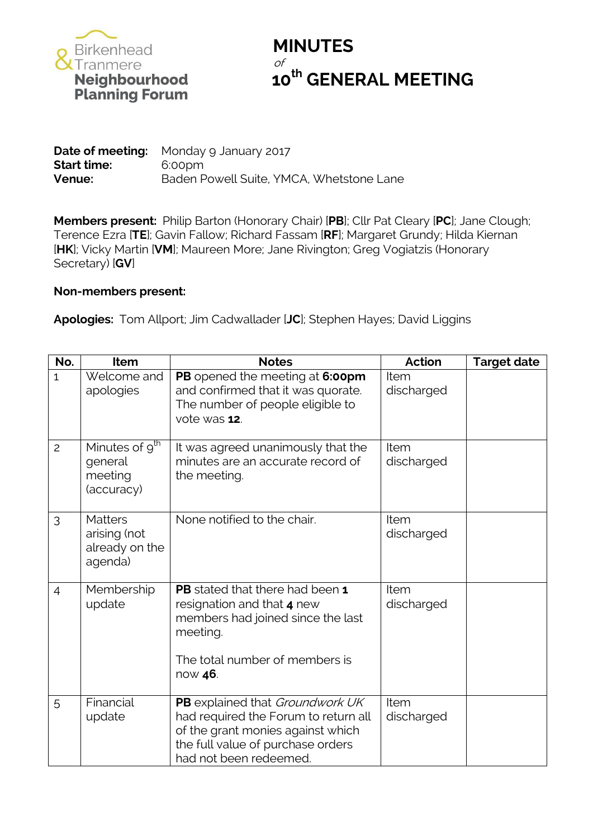

## **MINUTES** of **10<sup>th</sup> GENERAL MEETING**<br> **10<sup>th</sup> GENERAL MEETING**<br>
Planning Forum

**Date of meeting:** Monday 9 January 2017 **Start time:** 6:00pm **Venue:** Baden Powell Suite, YMCA, Whetstone Lane

**Members present:** Philip Barton (Honorary Chair) [**PB**]; Cllr Pat Cleary [**PC**]; Jane Clough; Terence Ezra [**TE**]; Gavin Fallow; Richard Fassam [**RF**]; Margaret Grundy; Hilda Kiernan [**HK**]; Vicky Martin [**VM**]; Maureen More; Jane Rivington; Greg Vogiatzis (Honorary Secretary) [**GV**]

## **Non-members present:**

**Apologies:** Tom Allport; Jim Cadwallader [**JC**]; Stephen Hayes; David Liggins

| No.            | Item                                                                      | <b>Notes</b>                                                                                                                                                                | Action             | <b>Target date</b> |
|----------------|---------------------------------------------------------------------------|-----------------------------------------------------------------------------------------------------------------------------------------------------------------------------|--------------------|--------------------|
| $\mathbf{1}$   | Welcome and<br>apologies                                                  | PB opened the meeting at 6:00pm<br>and confirmed that it was quorate.<br>The number of people eligible to<br>vote was 12.                                                   | Item<br>discharged |                    |
| $\overline{c}$ | Minutes of $\overline{9}^{\text{th}}$<br>general<br>meeting<br>(accuracy) | It was agreed unanimously that the<br>minutes are an accurate record of<br>the meeting.                                                                                     | Item<br>discharged |                    |
| 3              | <b>Matters</b><br>arising (not<br>already on the<br>agenda)               | None notified to the chair.                                                                                                                                                 | Item<br>discharged |                    |
| $\overline{4}$ | Membership<br>update                                                      | <b>PB</b> stated that there had been 1<br>resignation and that 4 new<br>members had joined since the last<br>meeting.<br>The total number of members is<br>now 46.          | Item<br>discharged |                    |
| 5              | Financial<br>update                                                       | PB explained that Groundwork UK<br>had required the Forum to return all<br>of the grant monies against which<br>the full value of purchase orders<br>had not been redeemed. | Item<br>discharged |                    |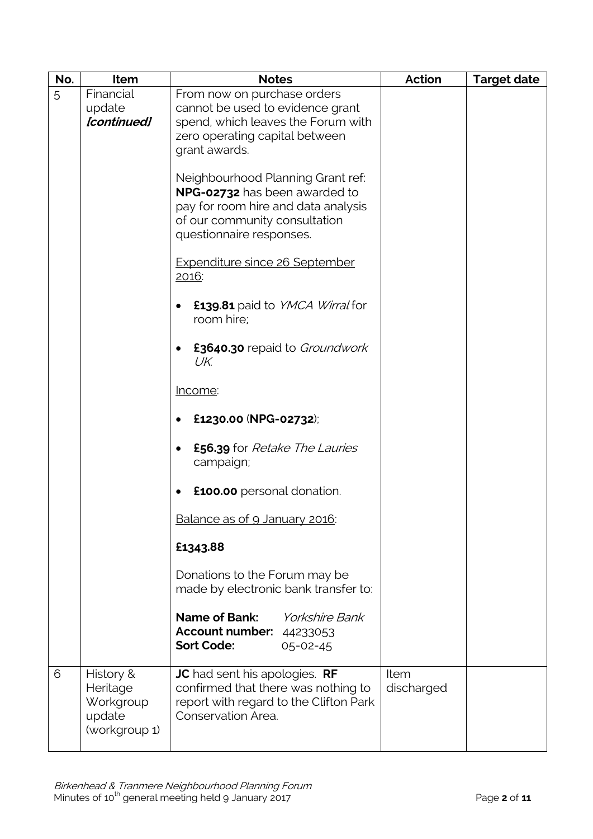| No. | Item                                                          | <b>Notes</b>                                                                                                                         | <b>Action</b>      | <b>Target date</b> |
|-----|---------------------------------------------------------------|--------------------------------------------------------------------------------------------------------------------------------------|--------------------|--------------------|
| 5   | Financial<br>update                                           | From now on purchase orders<br>cannot be used to evidence grant                                                                      |                    |                    |
|     | [continued]                                                   | spend, which leaves the Forum with<br>zero operating capital between                                                                 |                    |                    |
|     |                                                               | grant awards.                                                                                                                        |                    |                    |
|     |                                                               | Neighbourhood Planning Grant ref:<br>NPG-02732 has been awarded to                                                                   |                    |                    |
|     |                                                               | pay for room hire and data analysis<br>of our community consultation                                                                 |                    |                    |
|     |                                                               | questionnaire responses.                                                                                                             |                    |                    |
|     |                                                               | <b>Expenditure since 26 September</b><br>2016:                                                                                       |                    |                    |
|     |                                                               | £139.81 paid to YMCA Wirral for<br>room hire;                                                                                        |                    |                    |
|     |                                                               | £3640.30 repaid to Groundwork<br>UK.                                                                                                 |                    |                    |
|     |                                                               | <u>Income:</u>                                                                                                                       |                    |                    |
|     |                                                               | £1230.00 (NPG-02732);                                                                                                                |                    |                    |
|     |                                                               | <b>£56.39</b> for <i>Retake The Lauries</i><br>campaign;                                                                             |                    |                    |
|     |                                                               | <b>£100.00</b> personal donation.                                                                                                    |                    |                    |
|     |                                                               | Balance as of 9 January 2016:                                                                                                        |                    |                    |
|     |                                                               | £1343.88                                                                                                                             |                    |                    |
|     |                                                               | Donations to the Forum may be<br>made by electronic bank transfer to:                                                                |                    |                    |
|     |                                                               | <b>Name of Bank:</b><br><i><b>Yorkshire Bank</b></i><br><b>Account number: 44233053</b><br><b>Sort Code:</b><br>$05 - 02 - 45$       |                    |                    |
| 6   | History &<br>Heritage<br>Workgroup<br>update<br>(workgroup 1) | JC had sent his apologies. RF<br>confirmed that there was nothing to<br>report with regard to the Clifton Park<br>Conservation Area. | Item<br>discharged |                    |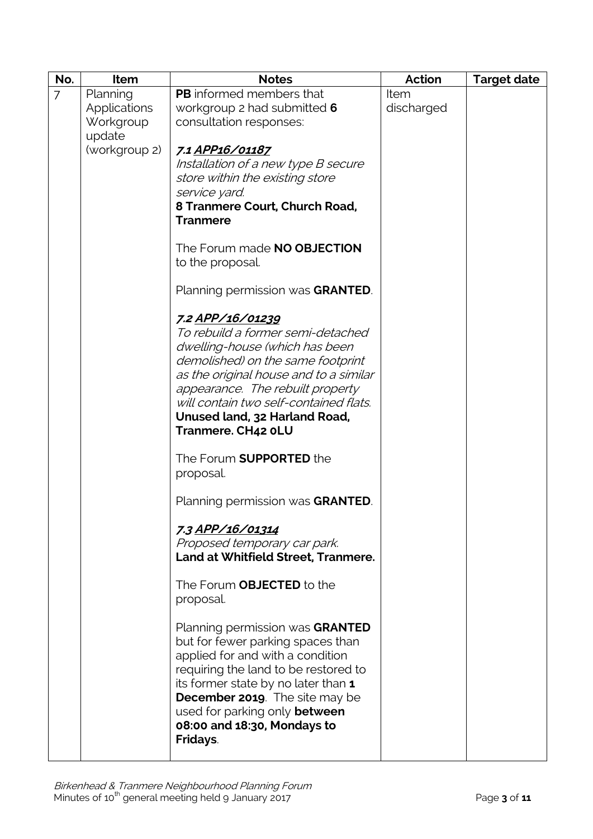| No.            | Item                | <b>Notes</b>                           | <b>Action</b> | <b>Target date</b> |
|----------------|---------------------|----------------------------------------|---------------|--------------------|
| $\overline{7}$ | Planning            | <b>PB</b> informed members that        | Item          |                    |
|                | <b>Applications</b> | workgroup 2 had submitted 6            | discharged    |                    |
|                | Workgroup           | consultation responses:                |               |                    |
|                | update              |                                        |               |                    |
|                | (workgroup 2)       | 7.1 APP16/01187                        |               |                    |
|                |                     | Installation of a new type B secure    |               |                    |
|                |                     | store within the existing store        |               |                    |
|                |                     | service yard.                          |               |                    |
|                |                     | 8 Tranmere Court, Church Road,         |               |                    |
|                |                     | <b>Tranmere</b>                        |               |                    |
|                |                     |                                        |               |                    |
|                |                     | The Forum made NO OBJECTION            |               |                    |
|                |                     | to the proposal.                       |               |                    |
|                |                     |                                        |               |                    |
|                |                     | Planning permission was GRANTED.       |               |                    |
|                |                     |                                        |               |                    |
|                |                     | 7.2 APP/16/01239                       |               |                    |
|                |                     | To rebuild a former semi-detached      |               |                    |
|                |                     | dwelling-house (which has been         |               |                    |
|                |                     | demolished) on the same footprint      |               |                    |
|                |                     |                                        |               |                    |
|                |                     | as the original house and to a similar |               |                    |
|                |                     | appearance. The rebuilt property       |               |                    |
|                |                     | will contain two self-contained flats. |               |                    |
|                |                     | Unused land, 32 Harland Road,          |               |                    |
|                |                     | Tranmere. CH42 oLU                     |               |                    |
|                |                     |                                        |               |                    |
|                |                     | The Forum <b>SUPPORTED</b> the         |               |                    |
|                |                     | proposal.                              |               |                    |
|                |                     | Planning permission was GRANTED.       |               |                    |
|                |                     |                                        |               |                    |
|                |                     | 7.3 APP/16/01314                       |               |                    |
|                |                     | Proposed temporary car park.           |               |                    |
|                |                     | Land at Whitfield Street, Tranmere.    |               |                    |
|                |                     |                                        |               |                    |
|                |                     | The Forum OBJECTED to the              |               |                    |
|                |                     | proposal.                              |               |                    |
|                |                     |                                        |               |                    |
|                |                     | Planning permission was GRANTED        |               |                    |
|                |                     | but for fewer parking spaces than      |               |                    |
|                |                     | applied for and with a condition       |               |                    |
|                |                     | requiring the land to be restored to   |               |                    |
|                |                     | its former state by no later than 1    |               |                    |
|                |                     | <b>December 2019</b> . The site may be |               |                    |
|                |                     | used for parking only between          |               |                    |
|                |                     | 08:00 and 18:30, Mondays to            |               |                    |
|                |                     | Fridays.                               |               |                    |
|                |                     |                                        |               |                    |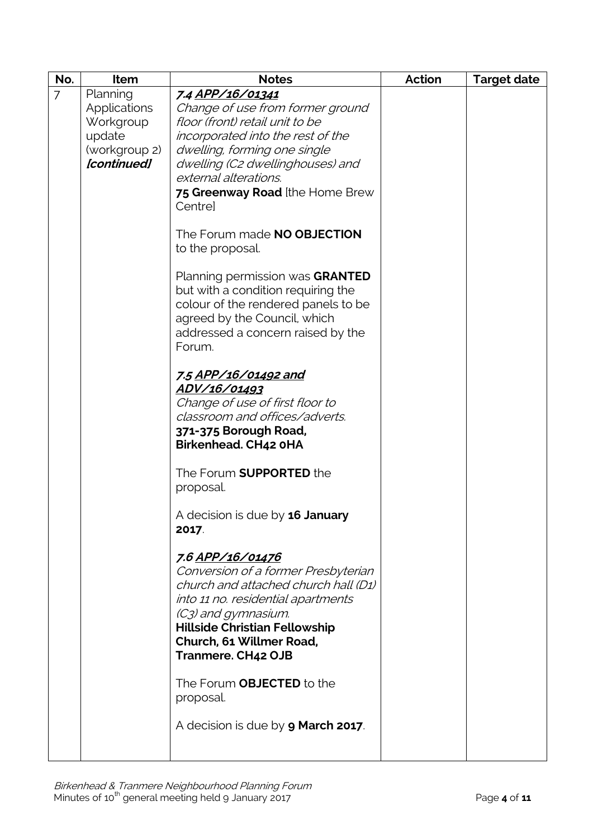| No.            | Item          | <b>Notes</b>                               | <b>Action</b> | <b>Target date</b> |
|----------------|---------------|--------------------------------------------|---------------|--------------------|
| $\overline{7}$ | Planning      | 7.4 APP/16/01341                           |               |                    |
|                | Applications  | Change of use from former ground           |               |                    |
|                | Workgroup     | floor (front) retail unit to be            |               |                    |
|                | update        | incorporated into the rest of the          |               |                    |
|                | (workgroup 2) | dwelling, forming one single               |               |                    |
|                | [continued]   | dwelling (C2 dwellinghouses) and           |               |                    |
|                |               | external alterations.                      |               |                    |
|                |               | 75 Greenway Road [the Home Brew            |               |                    |
|                |               | Centrel                                    |               |                    |
|                |               | The Forum made NO OBJECTION                |               |                    |
|                |               | to the proposal.                           |               |                    |
|                |               |                                            |               |                    |
|                |               | Planning permission was GRANTED            |               |                    |
|                |               | but with a condition requiring the         |               |                    |
|                |               | colour of the rendered panels to be        |               |                    |
|                |               | agreed by the Council, which               |               |                    |
|                |               | addressed a concern raised by the          |               |                    |
|                |               | Forum.                                     |               |                    |
|                |               | 7.5 APP/16/01492 and                       |               |                    |
|                |               | ADV/16/01493                               |               |                    |
|                |               | Change of use of first floor to            |               |                    |
|                |               | classroom and offices/adverts.             |               |                    |
|                |               | 371-375 Borough Road,                      |               |                    |
|                |               | Birkenhead. CH42 0HA                       |               |                    |
|                |               | The Forum <b>SUPPORTED</b> the             |               |                    |
|                |               | proposal.                                  |               |                    |
|                |               |                                            |               |                    |
|                |               | A decision is due by <b>16 January</b>     |               |                    |
|                |               | 2017.                                      |               |                    |
|                |               | 7.6 APP/16/01476                           |               |                    |
|                |               | Conversion of a former Presbyterian        |               |                    |
|                |               | church and attached church hall (D1)       |               |                    |
|                |               | into 11 no. residential apartments         |               |                    |
|                |               | (C3) and gymnasium.                        |               |                    |
|                |               | <b>Hillside Christian Fellowship</b>       |               |                    |
|                |               | Church, 61 Willmer Road,                   |               |                    |
|                |               | Tranmere. CH42 OJB                         |               |                    |
|                |               | The Forum <b>OBJECTED</b> to the           |               |                    |
|                |               | proposal.                                  |               |                    |
|                |               |                                            |               |                    |
|                |               | A decision is due by <b>9 March 2017</b> . |               |                    |
|                |               |                                            |               |                    |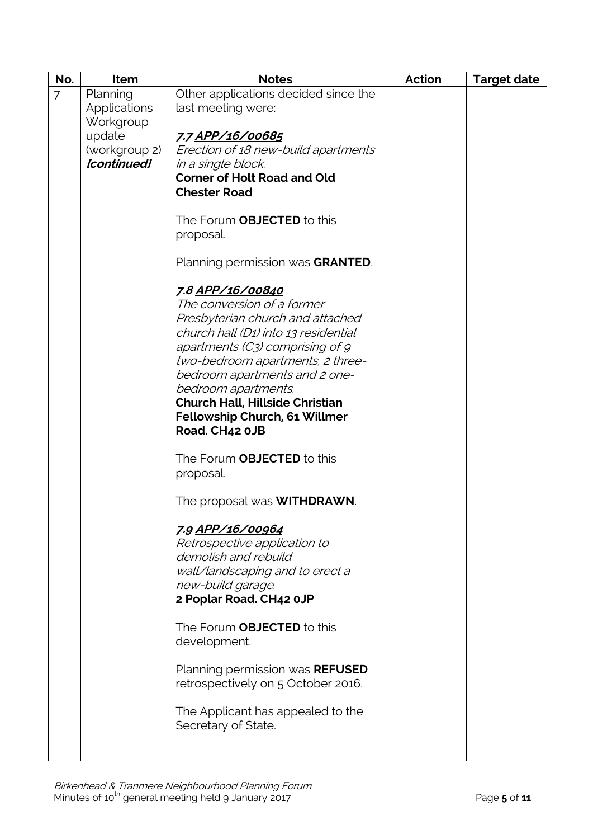| No.            | Item                | <b>Notes</b>                                                                                                                                                                                                                                                            | <b>Action</b> | <b>Target date</b> |
|----------------|---------------------|-------------------------------------------------------------------------------------------------------------------------------------------------------------------------------------------------------------------------------------------------------------------------|---------------|--------------------|
| $\overline{7}$ | Planning            | Other applications decided since the                                                                                                                                                                                                                                    |               |                    |
|                | <b>Applications</b> | last meeting were:                                                                                                                                                                                                                                                      |               |                    |
|                | Workgroup           |                                                                                                                                                                                                                                                                         |               |                    |
|                | update              | 7.7 APP/16/00685                                                                                                                                                                                                                                                        |               |                    |
|                | (workgroup 2)       | Erection of 18 new-build apartments                                                                                                                                                                                                                                     |               |                    |
|                | [continued]         | in a single block.                                                                                                                                                                                                                                                      |               |                    |
|                |                     | <b>Corner of Holt Road and Old</b>                                                                                                                                                                                                                                      |               |                    |
|                |                     | <b>Chester Road</b>                                                                                                                                                                                                                                                     |               |                    |
|                |                     |                                                                                                                                                                                                                                                                         |               |                    |
|                |                     | The Forum <b>OBJECTED</b> to this                                                                                                                                                                                                                                       |               |                    |
|                |                     | proposal.                                                                                                                                                                                                                                                               |               |                    |
|                |                     | Planning permission was GRANTED.                                                                                                                                                                                                                                        |               |                    |
|                |                     | 7.8 APP/16/00840                                                                                                                                                                                                                                                        |               |                    |
|                |                     | The conversion of a former                                                                                                                                                                                                                                              |               |                    |
|                |                     | Presbyterian church and attached                                                                                                                                                                                                                                        |               |                    |
|                |                     | church hall (D1) into 13 residential                                                                                                                                                                                                                                    |               |                    |
|                |                     | apartments (C3) comprising of 9                                                                                                                                                                                                                                         |               |                    |
|                |                     | two-bedroom apartments, 2 three-                                                                                                                                                                                                                                        |               |                    |
|                |                     | bedroom apartments and 2 one-                                                                                                                                                                                                                                           |               |                    |
|                |                     |                                                                                                                                                                                                                                                                         |               |                    |
|                |                     | <b>Church Hall, Hillside Christian</b>                                                                                                                                                                                                                                  |               |                    |
|                |                     |                                                                                                                                                                                                                                                                         |               |                    |
|                |                     | Road. CH42 0JB                                                                                                                                                                                                                                                          |               |                    |
|                |                     |                                                                                                                                                                                                                                                                         |               |                    |
|                |                     | proposal.                                                                                                                                                                                                                                                               |               |                    |
|                |                     |                                                                                                                                                                                                                                                                         |               |                    |
|                |                     |                                                                                                                                                                                                                                                                         |               |                    |
|                |                     | <u>7.9 APP/16/00964</u>                                                                                                                                                                                                                                                 |               |                    |
|                |                     | Retrospective application to                                                                                                                                                                                                                                            |               |                    |
|                |                     |                                                                                                                                                                                                                                                                         |               |                    |
|                |                     | wall/landscaping and to erect a                                                                                                                                                                                                                                         |               |                    |
|                |                     | new-build garage.                                                                                                                                                                                                                                                       |               |                    |
|                |                     |                                                                                                                                                                                                                                                                         |               |                    |
|                |                     |                                                                                                                                                                                                                                                                         |               |                    |
|                |                     |                                                                                                                                                                                                                                                                         |               |                    |
|                |                     |                                                                                                                                                                                                                                                                         |               |                    |
|                |                     | Planning permission was REFUSED                                                                                                                                                                                                                                         |               |                    |
|                |                     |                                                                                                                                                                                                                                                                         |               |                    |
|                |                     | The Applicant has appealed to the                                                                                                                                                                                                                                       |               |                    |
|                |                     | Secretary of State.                                                                                                                                                                                                                                                     |               |                    |
|                |                     |                                                                                                                                                                                                                                                                         |               |                    |
|                |                     | bedroom apartments.<br>Fellowship Church, 61 Willmer<br>The Forum <b>OBJECTED</b> to this<br>The proposal was <b>WITHDRAWN</b> .<br>demolish and rebuild<br>2 Poplar Road. CH42 0JP<br>The Forum OBJECTED to this<br>development.<br>retrospectively on 5 October 2016. |               |                    |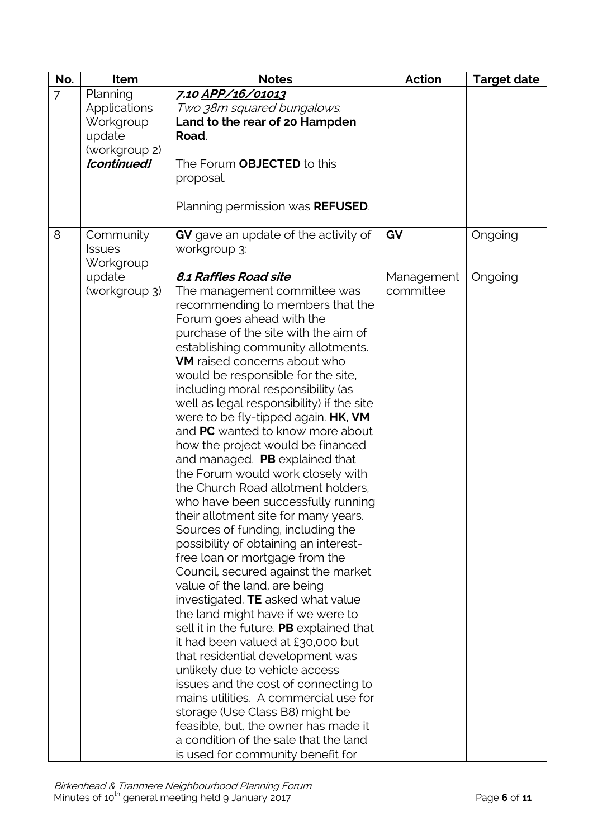| No.            | Item                                                                            | <b>Notes</b>                                                                                                                                                                                                                                                                                                                                                                                                                                                                                                                                                                                                                                                                                                                                                                                                                                                                                                                   | <b>Action</b>                 | <b>Target date</b> |
|----------------|---------------------------------------------------------------------------------|--------------------------------------------------------------------------------------------------------------------------------------------------------------------------------------------------------------------------------------------------------------------------------------------------------------------------------------------------------------------------------------------------------------------------------------------------------------------------------------------------------------------------------------------------------------------------------------------------------------------------------------------------------------------------------------------------------------------------------------------------------------------------------------------------------------------------------------------------------------------------------------------------------------------------------|-------------------------------|--------------------|
| $\overline{7}$ | Planning<br>Applications<br>Workgroup<br>update<br>(workgroup 2)<br>[continued] | 7.10 APP/16/01013<br>Two 38m squared bungalows.<br>Land to the rear of 20 Hampden<br>Road.<br>The Forum OBJECTED to this<br>proposal.<br>Planning permission was <b>REFUSED</b> .                                                                                                                                                                                                                                                                                                                                                                                                                                                                                                                                                                                                                                                                                                                                              |                               |                    |
| 8              | Community<br><b>Issues</b><br>Workgroup<br>update<br>(workgroup 3)              | GV gave an update of the activity of<br>workgroup 3:<br><b>8.1 Raffles Road site</b><br>The management committee was<br>recommending to members that the<br>Forum goes ahead with the<br>purchase of the site with the aim of<br>establishing community allotments.<br>VM raised concerns about who<br>would be responsible for the site,<br>including moral responsibility (as<br>well as legal responsibility) if the site<br>were to be fly-tipped again. HK, VM<br>and PC wanted to know more about<br>how the project would be financed<br>and managed. PB explained that<br>the Forum would work closely with<br>the Church Road allotment holders,<br>who have been successfully running<br>their allotment site for many years.<br>Sources of funding, including the<br>possibility of obtaining an interest-<br>free loan or mortgage from the<br>Council, secured against the market<br>value of the land, are being | GV<br>Management<br>committee | Ongoing<br>Ongoing |
|                |                                                                                 | investigated. TE asked what value<br>the land might have if we were to<br>sell it in the future. PB explained that<br>it had been valued at £30,000 but<br>that residential development was<br>unlikely due to vehicle access<br>issues and the cost of connecting to<br>mains utilities. A commercial use for<br>storage (Use Class B8) might be<br>feasible, but, the owner has made it<br>a condition of the sale that the land<br>is used for community benefit for                                                                                                                                                                                                                                                                                                                                                                                                                                                        |                               |                    |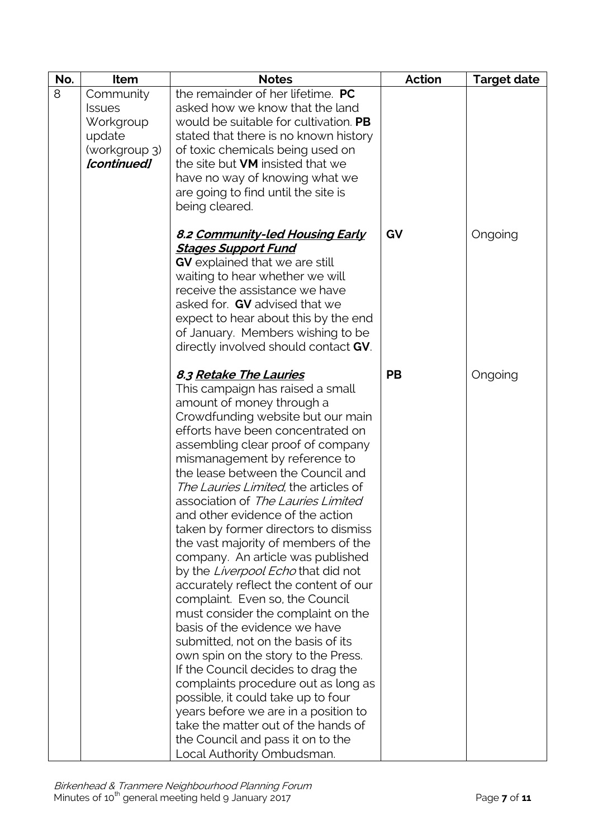| No. | Item                         | <b>Notes</b>                                                                | <b>Action</b> | <b>Target date</b> |
|-----|------------------------------|-----------------------------------------------------------------------------|---------------|--------------------|
| 8   | Community                    | the remainder of her lifetime. PC                                           |               |                    |
|     | <b>Issues</b>                | asked how we know that the land                                             |               |                    |
|     | Workgroup                    | would be suitable for cultivation. PB                                       |               |                    |
|     | update                       | stated that there is no known history                                       |               |                    |
|     | (workgroup 3)<br>[continued] | of toxic chemicals being used on<br>the site but <b>VM</b> insisted that we |               |                    |
|     |                              |                                                                             |               |                    |
|     |                              | have no way of knowing what we<br>are going to find until the site is       |               |                    |
|     |                              | being cleared.                                                              |               |                    |
|     |                              |                                                                             |               |                    |
|     |                              | <u>8.2 Community-led Housing Early</u>                                      | GV            | Ongoing            |
|     |                              | <u> Stages Support Fund</u>                                                 |               |                    |
|     |                              | <b>GV</b> explained that we are still                                       |               |                    |
|     |                              | waiting to hear whether we will                                             |               |                    |
|     |                              | receive the assistance we have                                              |               |                    |
|     |                              | asked for. GV advised that we                                               |               |                    |
|     |                              | expect to hear about this by the end                                        |               |                    |
|     |                              | of January. Members wishing to be                                           |               |                    |
|     |                              | directly involved should contact GV.                                        |               |                    |
|     |                              |                                                                             | <b>PB</b>     |                    |
|     |                              | <b>8.3 Retake The Lauries</b>                                               |               | Ongoing            |
|     |                              | This campaign has raised a small<br>amount of money through a               |               |                    |
|     |                              | Crowdfunding website but our main                                           |               |                    |
|     |                              | efforts have been concentrated on                                           |               |                    |
|     |                              | assembling clear proof of company                                           |               |                    |
|     |                              | mismanagement by reference to                                               |               |                    |
|     |                              | the lease between the Council and                                           |               |                    |
|     |                              | The Lauries Limited, the articles of                                        |               |                    |
|     |                              | association of The Lauries Limited                                          |               |                    |
|     |                              | and other evidence of the action                                            |               |                    |
|     |                              | taken by former directors to dismiss                                        |               |                    |
|     |                              | the vast majority of members of the                                         |               |                    |
|     |                              | company. An article was published                                           |               |                    |
|     |                              | by the Liverpool Echo that did not                                          |               |                    |
|     |                              | accurately reflect the content of our                                       |               |                    |
|     |                              | complaint. Even so, the Council                                             |               |                    |
|     |                              | must consider the complaint on the                                          |               |                    |
|     |                              | basis of the evidence we have                                               |               |                    |
|     |                              | submitted, not on the basis of its                                          |               |                    |
|     |                              | own spin on the story to the Press.<br>If the Council decides to drag the   |               |                    |
|     |                              | complaints procedure out as long as                                         |               |                    |
|     |                              | possible, it could take up to four                                          |               |                    |
|     |                              | years before we are in a position to                                        |               |                    |
|     |                              | take the matter out of the hands of                                         |               |                    |
|     |                              | the Council and pass it on to the                                           |               |                    |
|     |                              | Local Authority Ombudsman.                                                  |               |                    |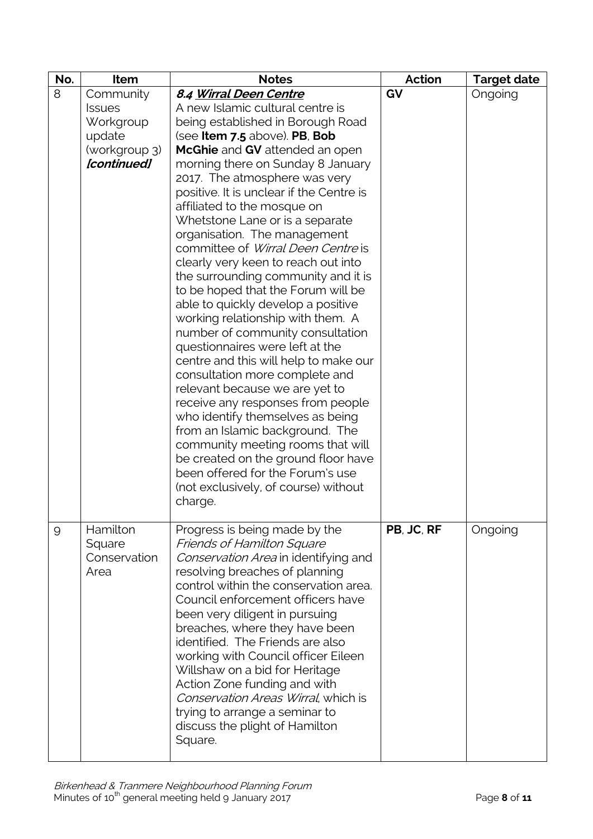| No. | Item                                                                 | <b>Notes</b>                                                                                                                                                                                                                                                                                                                                                                                                                                                                                                                                                                                                                                                                                                                                                                                                                                                                                                                                                                                                                                                         | Action     | <b>Target date</b> |
|-----|----------------------------------------------------------------------|----------------------------------------------------------------------------------------------------------------------------------------------------------------------------------------------------------------------------------------------------------------------------------------------------------------------------------------------------------------------------------------------------------------------------------------------------------------------------------------------------------------------------------------------------------------------------------------------------------------------------------------------------------------------------------------------------------------------------------------------------------------------------------------------------------------------------------------------------------------------------------------------------------------------------------------------------------------------------------------------------------------------------------------------------------------------|------------|--------------------|
| 8   | Community                                                            | 8.4 Wirral Deen Centre                                                                                                                                                                                                                                                                                                                                                                                                                                                                                                                                                                                                                                                                                                                                                                                                                                                                                                                                                                                                                                               | GV         | Ongoing            |
|     | <b>Issues</b><br>Workgroup<br>update<br>(workgroup 3)<br>[continued] | A new Islamic cultural centre is<br>being established in Borough Road<br>(see Item 7.5 above). PB, Bob<br>McGhie and GV attended an open<br>morning there on Sunday 8 January<br>2017. The atmosphere was very<br>positive. It is unclear if the Centre is<br>affiliated to the mosque on<br>Whetstone Lane or is a separate<br>organisation. The management<br>committee of Wirral Deen Centre is<br>clearly very keen to reach out into<br>the surrounding community and it is<br>to be hoped that the Forum will be<br>able to quickly develop a positive<br>working relationship with them. A<br>number of community consultation<br>questionnaires were left at the<br>centre and this will help to make our<br>consultation more complete and<br>relevant because we are yet to<br>receive any responses from people<br>who identify themselves as being<br>from an Islamic background. The<br>community meeting rooms that will<br>be created on the ground floor have<br>been offered for the Forum's use<br>(not exclusively, of course) without<br>charge. |            |                    |
| 9   | Hamilton<br>Square<br>Conservation<br>Area                           | Progress is being made by the<br><b>Friends of Hamilton Square</b><br>Conservation Area in identifying and<br>resolving breaches of planning<br>control within the conservation area.<br>Council enforcement officers have<br>been very diligent in pursuing<br>breaches, where they have been<br>identified. The Friends are also<br>working with Council officer Eileen<br>Willshaw on a bid for Heritage<br>Action Zone funding and with<br>Conservation Areas Wirral, which is<br>trying to arrange a seminar to<br>discuss the plight of Hamilton<br>Square.                                                                                                                                                                                                                                                                                                                                                                                                                                                                                                    | PB, JC, RF | Ongoing            |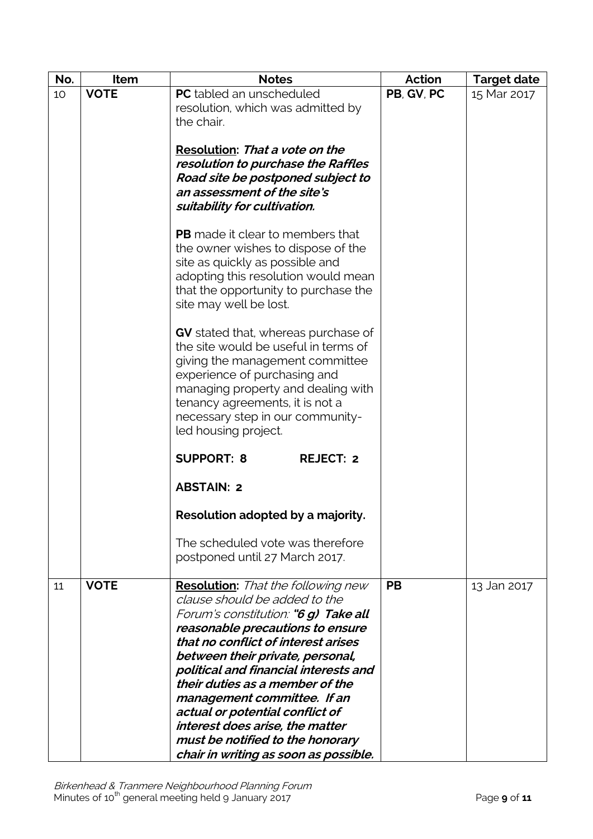| No. | Item        | <b>Notes</b>                                                            | Action     | <b>Target date</b> |
|-----|-------------|-------------------------------------------------------------------------|------------|--------------------|
| 10  | <b>VOTE</b> | PC tabled an unscheduled                                                | PB, GV, PC | 15 Mar 2017        |
|     |             | resolution, which was admitted by<br>the chair.                         |            |                    |
|     |             |                                                                         |            |                    |
|     |             | Resolution: That a vote on the                                          |            |                    |
|     |             | resolution to purchase the Raffles                                      |            |                    |
|     |             | Road site be postponed subject to<br>an assessment of the site's        |            |                    |
|     |             | suitability for cultivation.                                            |            |                    |
|     |             |                                                                         |            |                    |
|     |             | <b>PB</b> made it clear to members that                                 |            |                    |
|     |             | the owner wishes to dispose of the<br>site as quickly as possible and   |            |                    |
|     |             | adopting this resolution would mean                                     |            |                    |
|     |             | that the opportunity to purchase the                                    |            |                    |
|     |             | site may well be lost.                                                  |            |                    |
|     |             | GV stated that, whereas purchase of                                     |            |                    |
|     |             | the site would be useful in terms of                                    |            |                    |
|     |             | giving the management committee                                         |            |                    |
|     |             | experience of purchasing and                                            |            |                    |
|     |             | managing property and dealing with<br>tenancy agreements, it is not a   |            |                    |
|     |             | necessary step in our community-                                        |            |                    |
|     |             | led housing project.                                                    |            |                    |
|     |             | <b>SUPPORT: 8</b><br><b>REJECT: 2</b>                                   |            |                    |
|     |             | <b>ABSTAIN: 2</b>                                                       |            |                    |
|     |             | Resolution adopted by a majority.                                       |            |                    |
|     |             | The scheduled vote was therefore                                        |            |                    |
|     |             | postponed until 27 March 2017.                                          |            |                    |
| 11  | <b>VOTE</b> | <b>Resolution:</b> That the following new                               | <b>PB</b>  | 13 Jan 2017        |
|     |             | clause should be added to the                                           |            |                    |
|     |             | Forum's constitution: "6 g) Take all                                    |            |                    |
|     |             | reasonable precautions to ensure<br>that no conflict of interest arises |            |                    |
|     |             | between their private, personal,                                        |            |                    |
|     |             | political and financial interests and                                   |            |                    |
|     |             | their duties as a member of the                                         |            |                    |
|     |             | management committee. If an<br>actual or potential conflict of          |            |                    |
|     |             | interest does arise, the matter                                         |            |                    |
|     |             | must be notified to the honorary                                        |            |                    |
|     |             | chair in writing as soon as possible.                                   |            |                    |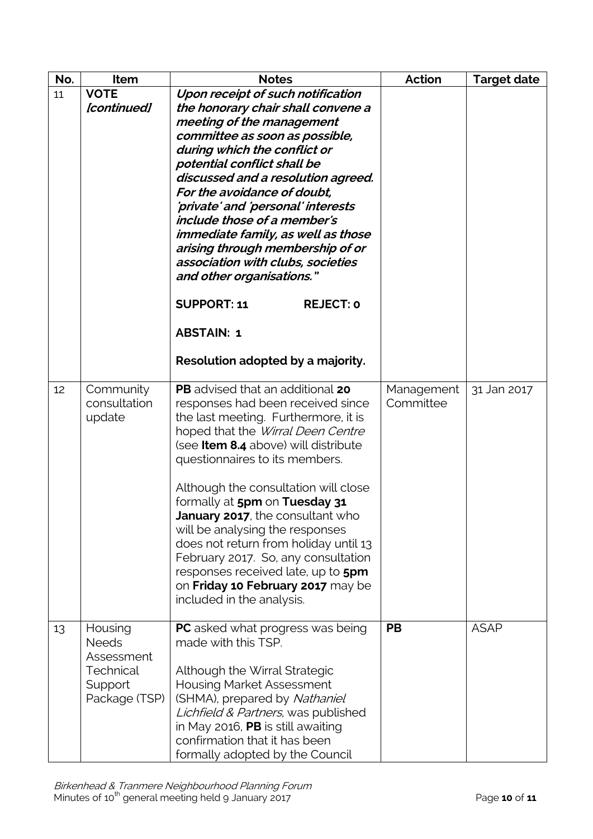| No. | Item                                                                           | <b>Notes</b>                                                                                                                                                                                                                                                                                                                                                                                                                                                                                                                                                                                    | <b>Action</b>           | <b>Target date</b> |
|-----|--------------------------------------------------------------------------------|-------------------------------------------------------------------------------------------------------------------------------------------------------------------------------------------------------------------------------------------------------------------------------------------------------------------------------------------------------------------------------------------------------------------------------------------------------------------------------------------------------------------------------------------------------------------------------------------------|-------------------------|--------------------|
| 11  | <b>VOTE</b><br>[continued]                                                     | Upon receipt of such notification<br>the honorary chair shall convene a<br>meeting of the management<br>committee as soon as possible,<br>during which the conflict or<br>potential conflict shall be<br>discussed and a resolution agreed.<br>For the avoidance of doubt,<br>'private' and 'personal' interests<br>include those of a member's<br>immediate family, as well as those<br>arising through membership of or<br>association with clubs, societies<br>and other organisations."<br><b>SUPPORT: 11</b><br><b>REJECT: 0</b><br><b>ABSTAIN: 1</b><br>Resolution adopted by a majority. |                         |                    |
| 12  | Community<br>consultation<br>update                                            | PB advised that an additional 20<br>responses had been received since<br>the last meeting. Furthermore, it is<br>hoped that the Wirral Deen Centre<br>(see Item 8.4 above) will distribute<br>questionnaires to its members.<br>Although the consultation will close<br>formally at 5pm on Tuesday 31<br>January 2017, the consultant who<br>will be analysing the responses<br>does not return from holiday until 13<br>February 2017. So, any consultation<br>responses received late, up to 5pm<br>on Friday 10 February 2017 may be<br>included in the analysis.                            | Management<br>Committee | 31 Jan 2017        |
| 13  | Housing<br><b>Needs</b><br>Assessment<br>Technical<br>Support<br>Package (TSP) | <b>PC</b> asked what progress was being<br>made with this TSP.<br>Although the Wirral Strategic<br><b>Housing Market Assessment</b><br>(SHMA), prepared by Nathaniel<br>Lichfield & Partners, was published<br>in May 2016, PB is still awaiting<br>confirmation that it has been<br>formally adopted by the Council                                                                                                                                                                                                                                                                            | <b>PB</b>               | <b>ASAP</b>        |